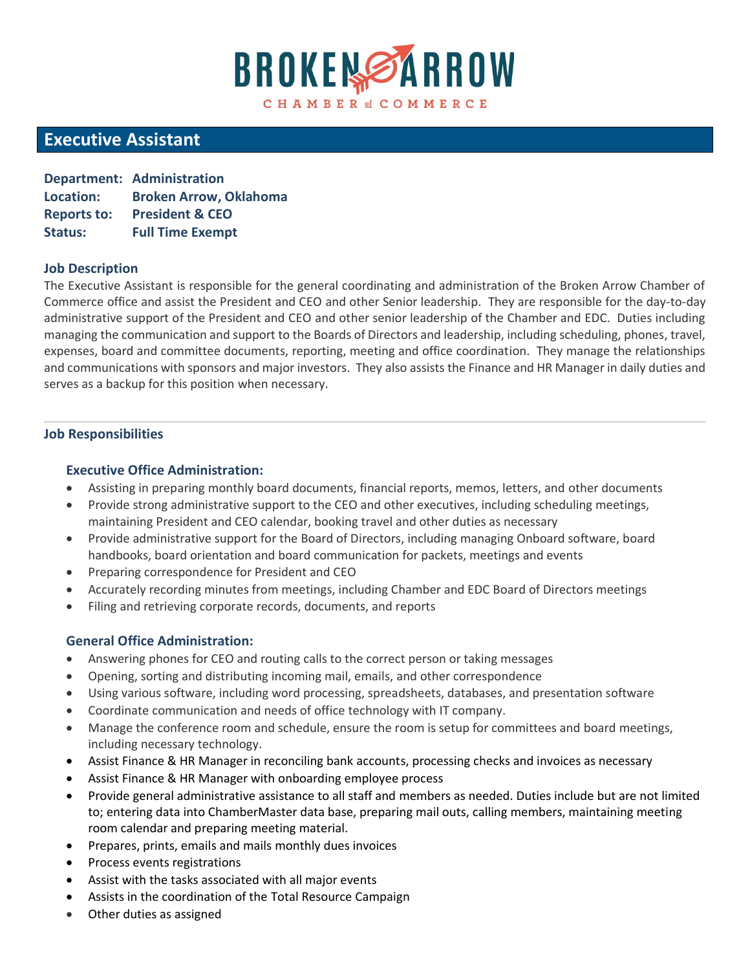# **BROKEMSARROW** CHAMBER of COMMERCE

# **Executive Assistant**

|                    | <b>Department: Administration</b> |
|--------------------|-----------------------------------|
| Location:          | <b>Broken Arrow, Oklahoma</b>     |
| <b>Reports to:</b> | <b>President &amp; CEO</b>        |
| <b>Status:</b>     | <b>Full Time Exempt</b>           |

#### **Job Description**

The Executive Assistant is responsible for the general coordinating and administration of the Broken Arrow Chamber of Commerce office and assist the President and CEO and other Senior leadership. They are responsible for the day-to-day administrative support of the President and CEO and other senior leadership of the Chamber and EDC. Duties including managing the communication and support to the Boards of Directors and leadership, including scheduling, phones, travel, expenses, board and committee documents, reporting, meeting and office coordination. They manage the relationships and communications with sponsors and major investors. They also assists the Finance and HR Manager in daily duties and serves as a backup for this position when necessary.

## **Job Responsibilities**

## **Executive Office Administration:**

- Assisting in preparing monthly board documents, financial reports, memos, letters, and other documents
- Provide strong administrative support to the CEO and other executives, including scheduling meetings, maintaining President and CEO calendar, booking travel and other duties as necessary
- Provide administrative support for the Board of Directors, including managing Onboard software, board handbooks, board orientation and board communication for packets, meetings and events
- Preparing correspondence for President and CEO
- Accurately recording minutes from meetings, including Chamber and EDC Board of Directors meetings
- Filing and retrieving corporate records, documents, and reports

# **General Office Administration:**

- Answering phones for CEO and routing calls to the correct person or taking messages
- Opening, sorting and distributing incoming mail, emails, and other correspondence
- Using various software, including word processing, spreadsheets, databases, and presentation software
- Coordinate communication and needs of office technology with IT company.
- Manage the conference room and schedule, ensure the room is setup for committees and board meetings, including necessary technology.
- Assist Finance & HR Manager in reconciling bank accounts, processing checks and invoices as necessary
- Assist Finance & HR Manager with onboarding employee process
- Provide general administrative assistance to all staff and members as needed. Duties include but are not limited to; entering data into ChamberMaster data base, preparing mail outs, calling members, maintaining meeting room calendar and preparing meeting material.
- Prepares, prints, emails and mails monthly dues invoices
- Process events registrations
- Assist with the tasks associated with all major events
- Assists in the coordination of the Total Resource Campaign
- Other duties as assigned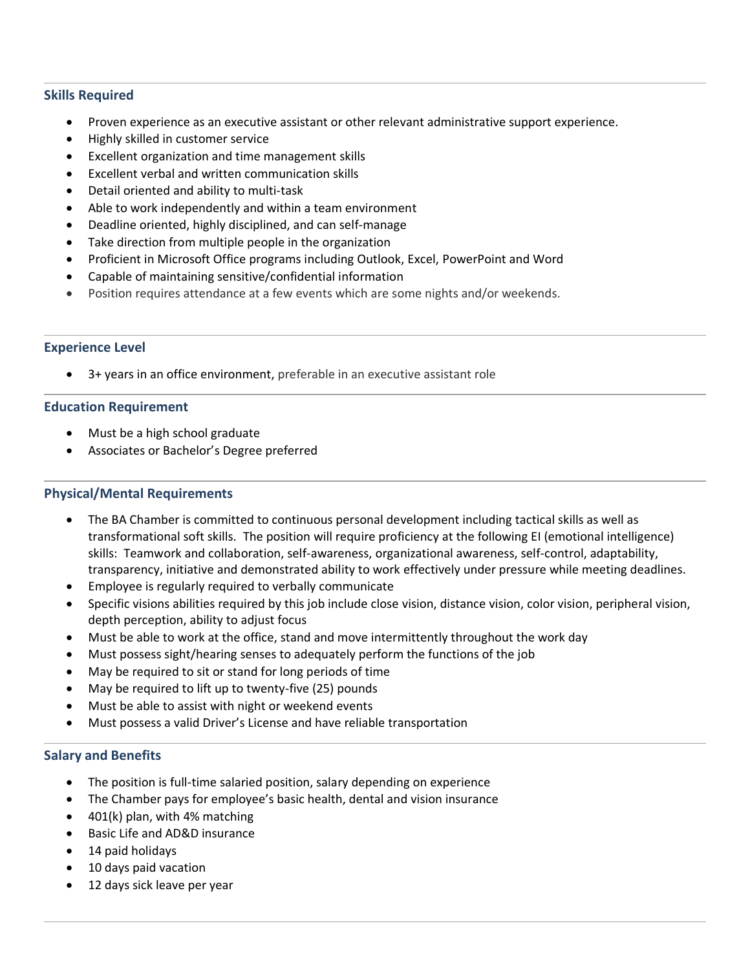#### **Skills Required**

- Proven experience as an executive assistant or other relevant administrative support experience.
- Highly skilled in customer service
- Excellent organization and time management skills
- Excellent verbal and written communication skills
- Detail oriented and ability to multi-task
- Able to work independently and within a team environment
- Deadline oriented, highly disciplined, and can self-manage
- Take direction from multiple people in the organization
- Proficient in Microsoft Office programs including Outlook, Excel, PowerPoint and Word
- Capable of maintaining sensitive/confidential information
- Position requires attendance at a few events which are some nights and/or weekends.

#### **Experience Level**

• 3+ years in an office environment, preferable in an executive assistant role

#### **Education Requirement**

- Must be a high school graduate
- Associates or Bachelor's Degree preferred

#### **Physical/Mental Requirements**

- The BA Chamber is committed to continuous personal development including tactical skills as well as transformational soft skills. The position will require proficiency at the following EI (emotional intelligence) skills: Teamwork and collaboration, self-awareness, organizational awareness, self-control, adaptability, transparency, initiative and demonstrated ability to work effectively under pressure while meeting deadlines.
- Employee is regularly required to verbally communicate
- Specific visions abilities required by this job include close vision, distance vision, color vision, peripheral vision, depth perception, ability to adjust focus
- Must be able to work at the office, stand and move intermittently throughout the work day
- Must possess sight/hearing senses to adequately perform the functions of the job
- May be required to sit or stand for long periods of time
- May be required to lift up to twenty-five (25) pounds
- Must be able to assist with night or weekend events
- Must possess a valid Driver's License and have reliable transportation

#### **Salary and Benefits**

- The position is full-time salaried position, salary depending on experience
- The Chamber pays for employee's basic health, dental and vision insurance
- 401(k) plan, with 4% matching
- Basic Life and AD&D insurance
- 14 paid holidays
- 10 days paid vacation
- 12 days sick leave per year